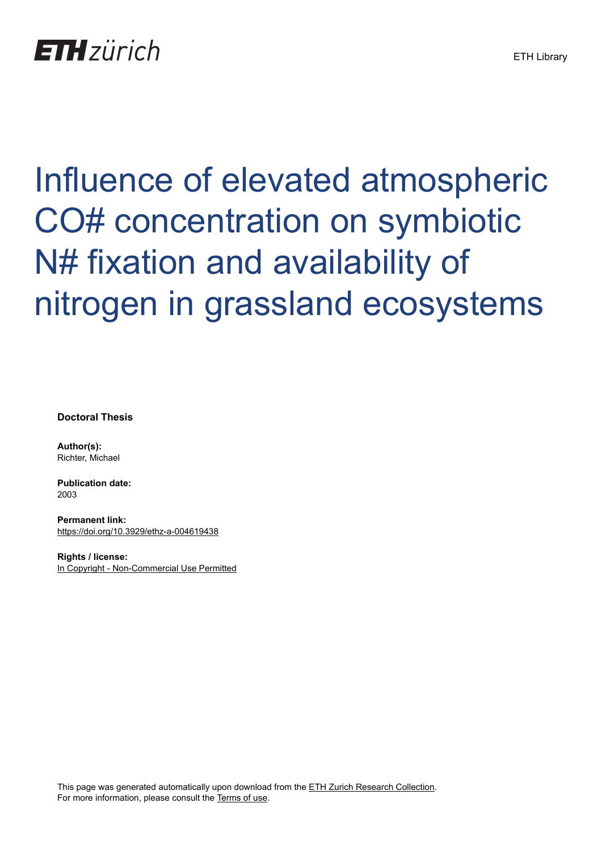# **ETH** zürich

# Influence of elevated atmospheric CO# concentration on symbiotic N# fixation and availability of nitrogen in grassland ecosystems

**Doctoral Thesis**

**Author(s):** Richter, Michael

**Publication date:** 2003

**Permanent link:** <https://doi.org/10.3929/ethz-a-004619438>

**Rights / license:** [In Copyright - Non-Commercial Use Permitted](http://rightsstatements.org/page/InC-NC/1.0/)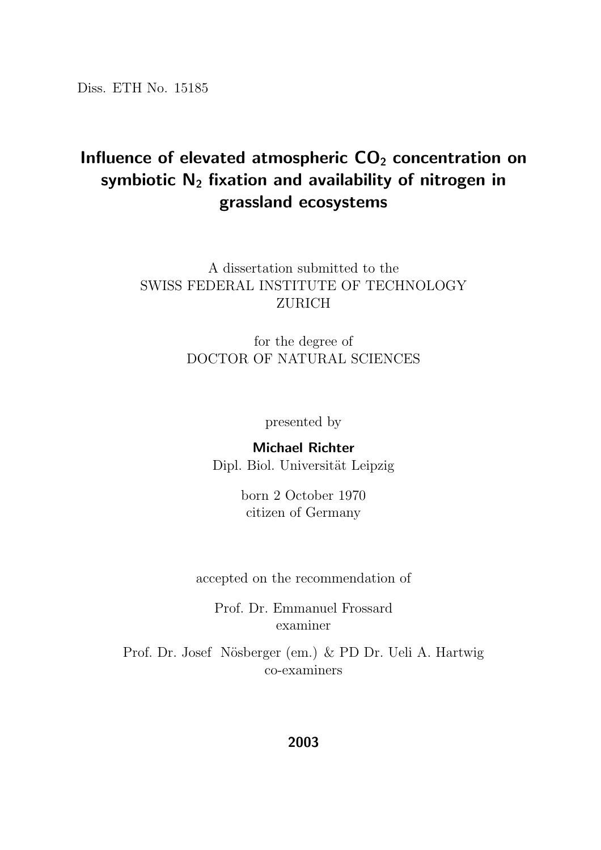Diss. ETH No. 15185

### Influence of elevated atmospheric  $CO<sub>2</sub>$  concentration on symbiotic  $N_2$  fixation and availability of nitrogen in grassland ecosystems

#### A dissertation submitted to the SWISS FEDERAL INSTITUTE OF TECHNOLOGY ZURICH

for the degree of DOCTOR OF NATURAL SCIENCES

presented by

#### Michael Richter Dipl. Biol. Universität Leipzig

born 2 October 1970 citizen of Germany

accepted on the recommendation of

Prof. Dr. Emmanuel Frossard examiner

Prof. Dr. Josef Nösberger (em.) & PD Dr. Ueli A. Hartwig co-examiners

#### 2003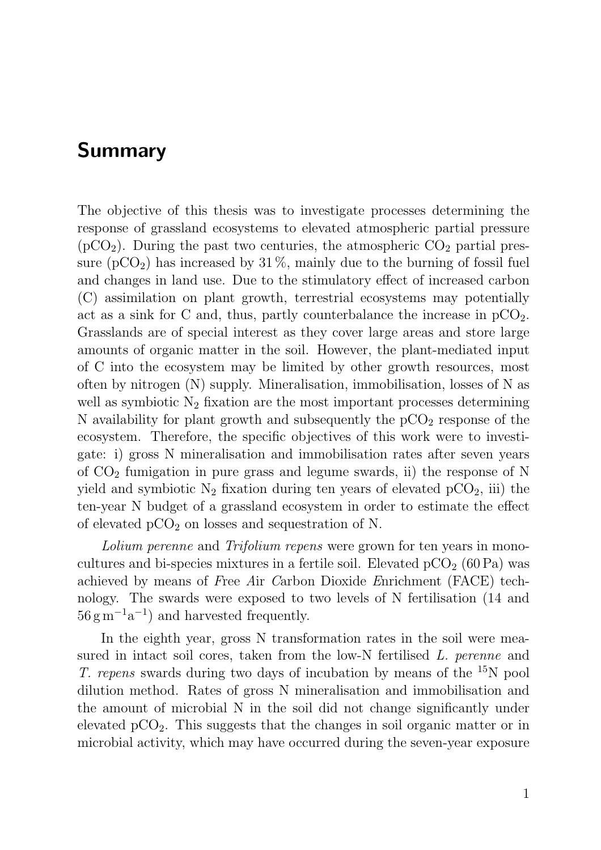## Summary

The objective of this thesis was to investigate processes determining the response of grassland ecosystems to elevated atmospheric partial pressure  $(pCO<sub>2</sub>)$ . During the past two centuries, the atmospheric  $CO<sub>2</sub>$  partial pressure  $(pCO<sub>2</sub>)$  has increased by 31%, mainly due to the burning of fossil fuel and changes in land use. Due to the stimulatory effect of increased carbon (C) assimilation on plant growth, terrestrial ecosystems may potentially act as a sink for C and, thus, partly counterbalance the increase in  $pCO<sub>2</sub>$ . Grasslands are of special interest as they cover large areas and store large amounts of organic matter in the soil. However, the plant-mediated input of C into the ecosystem may be limited by other growth resources, most often by nitrogen (N) supply. Mineralisation, immobilisation, losses of N as well as symbiotic  $N_2$  fixation are the most important processes determining N availability for plant growth and subsequently the  $pCO<sub>2</sub>$  response of the ecosystem. Therefore, the specific objectives of this work were to investigate: i) gross N mineralisation and immobilisation rates after seven years of  $CO<sub>2</sub>$  fumigation in pure grass and legume swards, ii) the response of N yield and symbiotic  $N_2$  fixation during ten years of elevated  $pCO_2$ , iii) the ten-year N budget of a grassland ecosystem in order to estimate the effect of elevated  $pCO<sub>2</sub>$  on losses and sequestration of N.

Lolium perenne and Trifolium repens were grown for ten years in monocultures and bi-species mixtures in a fertile soil. Elevated  $pCO<sub>2</sub>$  (60 Pa) was achieved by means of Free Air Carbon Dioxide Enrichment (FACE) technology. The swards were exposed to two levels of N fertilisation (14 and  $56 \text{ g m}^{-1} \text{a}^{-1}$  and harvested frequently.

In the eighth year, gross N transformation rates in the soil were measured in intact soil cores, taken from the low-N fertilised L. perenne and T. repens swards during two days of incubation by means of the <sup>15</sup>N pool dilution method. Rates of gross N mineralisation and immobilisation and the amount of microbial N in the soil did not change significantly under elevated  $pCO<sub>2</sub>$ . This suggests that the changes in soil organic matter or in microbial activity, which may have occurred during the seven-year exposure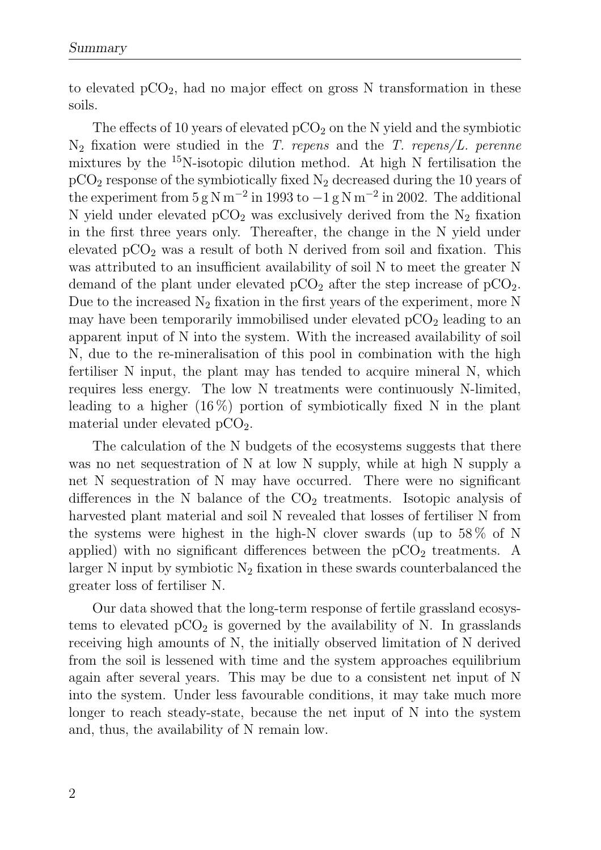to elevated  $pCO<sub>2</sub>$ , had no major effect on gross N transformation in these soils.

The effects of 10 years of elevated  $pCO<sub>2</sub>$  on the N yield and the symbiotic  $N_2$  fixation were studied in the T. repens and the T. repens/L. perenne mixtures by the  $^{15}$ N-isotopic dilution method. At high N fertilisation the  $pCO<sub>2</sub>$  response of the symbiotically fixed  $N<sub>2</sub>$  decreased during the 10 years of the experiment from  $5 \text{ g N m}^{-2}$  in 1993 to  $-1 \text{ g N m}^{-2}$  in 2002. The additional N yield under elevated  $pCO<sub>2</sub>$  was exclusively derived from the N<sub>2</sub> fixation in the first three years only. Thereafter, the change in the N yield under elevated  $pCO<sub>2</sub>$  was a result of both N derived from soil and fixation. This was attributed to an insufficient availability of soil N to meet the greater N demand of the plant under elevated  $pCO<sub>2</sub>$  after the step increase of  $pCO<sub>2</sub>$ . Due to the increased  $N_2$  fixation in the first years of the experiment, more N may have been temporarily immobilised under elevated  $pCO<sub>2</sub>$  leading to an apparent input of N into the system. With the increased availability of soil N, due to the re-mineralisation of this pool in combination with the high fertiliser N input, the plant may has tended to acquire mineral N, which requires less energy. The low N treatments were continuously N-limited, leading to a higher  $(16\%)$  portion of symbiotically fixed N in the plant material under elevated  $pCO<sub>2</sub>$ .

The calculation of the N budgets of the ecosystems suggests that there was no net sequestration of N at low N supply, while at high N supply a net N sequestration of N may have occurred. There were no significant differences in the N balance of the  $CO<sub>2</sub>$  treatments. Isotopic analysis of harvested plant material and soil N revealed that losses of fertiliser N from the systems were highest in the high-N clover swards (up to 58 % of N applied) with no significant differences between the  $pCO<sub>2</sub>$  treatments. A larger N input by symbiotic  $N_2$  fixation in these swards counterbalanced the greater loss of fertiliser N.

Our data showed that the long-term response of fertile grassland ecosystems to elevated  $pCO_2$  is governed by the availability of N. In grasslands receiving high amounts of N, the initially observed limitation of N derived from the soil is lessened with time and the system approaches equilibrium again after several years. This may be due to a consistent net input of N into the system. Under less favourable conditions, it may take much more longer to reach steady-state, because the net input of N into the system and, thus, the availability of N remain low.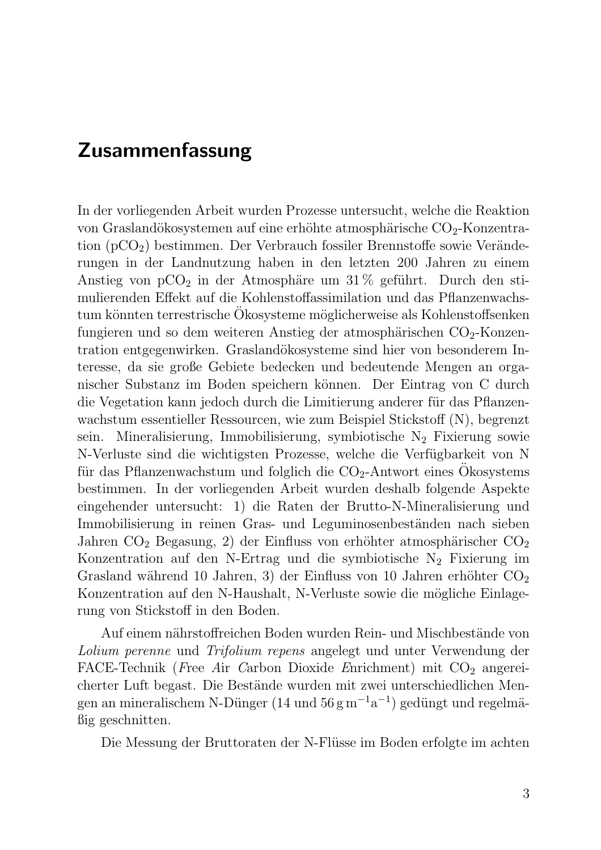# Zusammenfassung

In der vorliegenden Arbeit wurden Prozesse untersucht, welche die Reaktion von Graslandökosystemen auf eine erhöhte atmosphärische  $CO<sub>2</sub>$ -Konzentration  $(pCO<sub>2</sub>)$  bestimmen. Der Verbrauch fossiler Brennstoffe sowie Veränderungen in der Landnutzung haben in den letzten 200 Jahren zu einem Anstieg von  $pCO_2$  in der Atmosphäre um 31% geführt. Durch den stimulierenden Effekt auf die Kohlenstoffassimilation und das Pflanzenwachstum könnten terrestrische Okosysteme möglicherweise als Kohlenstoffsenken fungieren und so dem weiteren Anstieg der atmosphärischen  $CO<sub>2</sub>$ -Konzentration entgegenwirken. Graslandökosysteme sind hier von besonderem Interesse, da sie große Gebiete bedecken und bedeutende Mengen an organischer Substanz im Boden speichern können. Der Eintrag von C durch die Vegetation kann jedoch durch die Limitierung anderer für das Pflanzenwachstum essentieller Ressourcen, wie zum Beispiel Stickstoff (N), begrenzt sein. Mineralisierung, Immobilisierung, symbiotische  $N_2$  Fixierung sowie N-Verluste sind die wichtigsten Prozesse, welche die Verfügbarkeit von N für das Pflanzenwachstum und folglich die  $CO<sub>2</sub>$ -Antwort eines Okosystems bestimmen. In der vorliegenden Arbeit wurden deshalb folgende Aspekte eingehender untersucht: 1) die Raten der Brutto-N-Mineralisierung und Immobilisierung in reinen Gras- und Leguminosenbeständen nach sieben Jahren  $CO_2$  Begasung, 2) der Einfluss von erhöhter atmosphärischer  $CO_2$ Konzentration auf den N-Ertrag und die symbiotische  $N_2$  Fixierung im Grasland während 10 Jahren, 3) der Einfluss von 10 Jahren erhöhter  $CO<sub>2</sub>$ Konzentration auf den N-Haushalt, N-Verluste sowie die mögliche Einlagerung von Stickstoff in den Boden.

Auf einem nährstoffreichen Boden wurden Rein- und Mischbestände von Lolium perenne und Trifolium repens angelegt und unter Verwendung der FACE-Technik (Free Air Carbon Dioxide Enrichment) mit  $CO<sub>2</sub>$  angereicherter Luft begast. Die Bestände wurden mit zwei unterschiedlichen Mengen an mineralischem N-Dünger (14 und 56 g m<sup>-1</sup>a<sup>-1</sup>) gedüngt und regelmäßig geschnitten.

Die Messung der Bruttoraten der N-Flüsse im Boden erfolgte im achten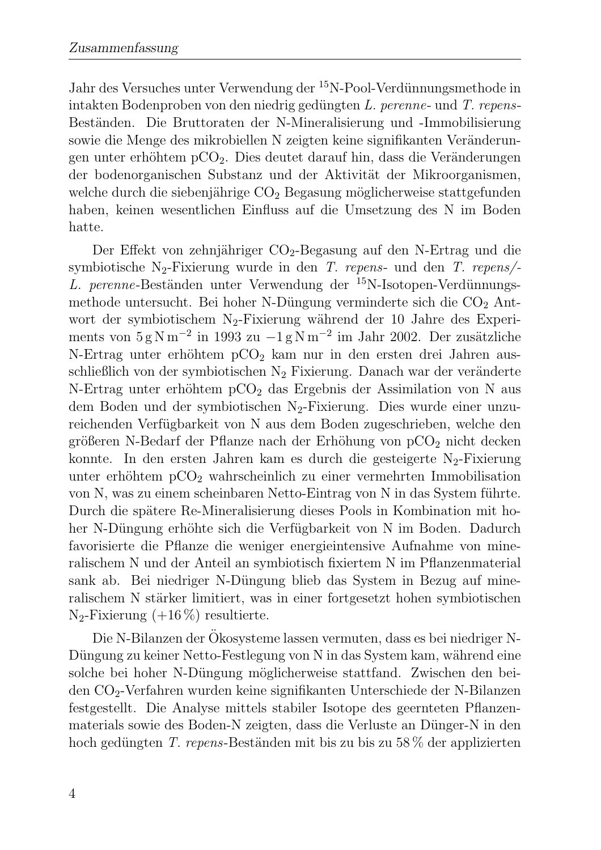Jahr des Versuches unter Verwendung der <sup>15</sup>N-Pool-Verdünnungsmethode in intakten Bodenproben von den niedrig gedüngten  $L$ . perenne- und  $T$ . repens-Beständen. Die Bruttoraten der N-Mineralisierung und -Immobilisierung sowie die Menge des mikrobiellen N zeigten keine signifikanten Veränderungen unter erhöhtem  $pCO<sub>2</sub>$ . Dies deutet darauf hin, dass die Veränderungen der bodenorganischen Substanz und der Aktivität der Mikroorganismen, welche durch die siebenjährige  $CO<sub>2</sub>$  Begasung möglicherweise stattgefunden haben, keinen wesentlichen Einfluss auf die Umsetzung des N im Boden hatte.

Der Effekt von zehnjähriger  $CO_2$ -Begasung auf den N-Ertrag und die symbiotische N<sub>2</sub>-Fixierung wurde in den T. repens- und den T. repens/-L. perenne-Beständen unter Verwendung der  $^{15}$ N-Isotopen-Verdünnungsmethode untersucht. Bei hoher N-Düngung verminderte sich die  $CO<sub>2</sub>$  Antwort der symbiotischem  $N_2$ -Fixierung während der 10 Jahre des Experiments von  $5 \text{ g N m}^{-2}$  in 1993 zu  $-1 \text{ g N m}^{-2}$  im Jahr 2002. Der zusätzliche N-Ertrag unter erhöhtem  $pCO<sub>2</sub>$  kam nur in den ersten drei Jahren ausschließlich von der symbiotischen  $N_2$  Fixierung. Danach war der veränderte N-Ertrag unter erhöhtem  $pCO<sub>2</sub>$  das Ergebnis der Assimilation von N aus dem Boden und der symbiotischen N<sub>2</sub>-Fixierung. Dies wurde einer unzureichenden Verfügbarkeit von N aus dem Boden zugeschrieben, welche den größeren N-Bedarf der Pflanze nach der Erhöhung von  $pCO<sub>2</sub>$  nicht decken konnte. In den ersten Jahren kam es durch die gesteigerte  $N_2$ -Fixierung unter erhöhtem  $pCO<sub>2</sub>$  wahrscheinlich zu einer vermehrten Immobilisation von N, was zu einem scheinbaren Netto-Eintrag von N in das System führte. Durch die spätere Re-Mineralisierung dieses Pools in Kombination mit hoher N-Düngung erhöhte sich die Verfügbarkeit von N im Boden. Dadurch favorisierte die Pflanze die weniger energieintensive Aufnahme von mineralischem N und der Anteil an symbiotisch fixiertem N im Pflanzenmaterial sank ab. Bei niedriger N-Düngung blieb das System in Bezug auf mineralischem N stärker limitiert, was in einer fortgesetzt hohen symbiotischen  $N_2$ -Fixierung (+16 %) resultierte.

Die N-Bilanzen der Ökosysteme lassen vermuten, dass es bei niedriger N-Düngung zu keiner Netto-Festlegung von N in das System kam, während eine solche bei hoher N-Düngung möglicherweise stattfand. Zwischen den beiden CO2-Verfahren wurden keine signifikanten Unterschiede der N-Bilanzen festgestellt. Die Analyse mittels stabiler Isotope des geernteten Pflanzenmaterials sowie des Boden-N zeigten, dass die Verluste an Dünger-N in den hoch gedüngten T. repens-Beständen mit bis zu bis zu 58 % der applizierten